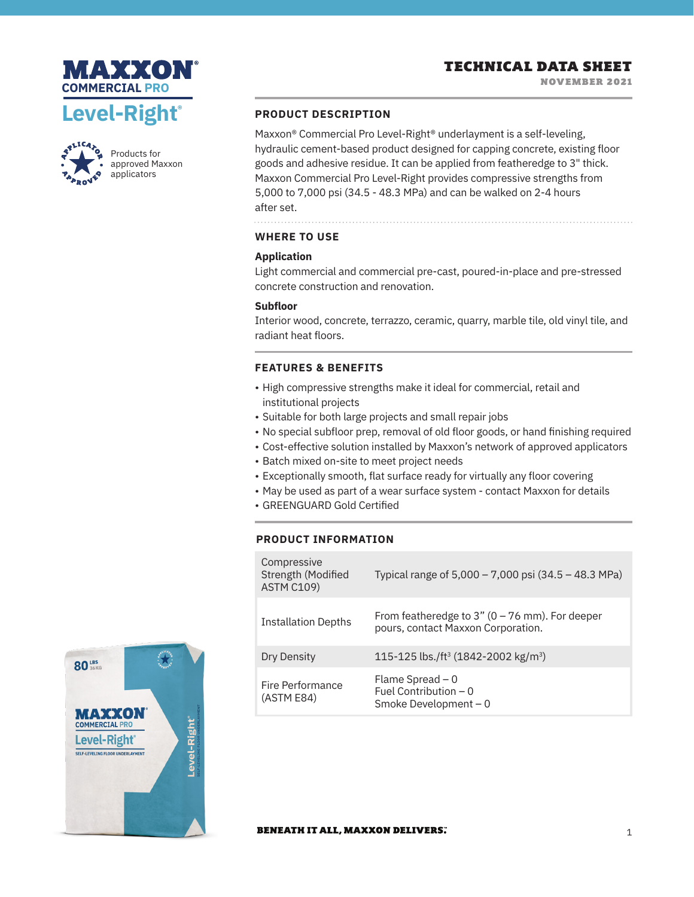# TECHNICAL DATA SHEET





Products for approved Maxxon applicators

## **PRODUCT DESCRIPTION**

Maxxon® Commercial Pro Level-Right® underlayment is a self-leveling, hydraulic cement-based product designed for capping concrete, existing floor goods and adhesive residue. It can be applied from featheredge to 3" thick. Maxxon Commercial Pro Level-Right provides compressive strengths from 5,000 to 7,000 psi (34.5 - 48.3 MPa) and can be walked on 2-4 hours after set.

**WHERE TO USE**

# **Application**

Light commercial and commercial pre-cast, poured-in-place and pre-stressed concrete construction and renovation.

## **Subfloor**

Interior wood, concrete, terrazzo, ceramic, quarry, marble tile, old vinyl tile, and radiant heat floors.

# **FEATURES & BENEFITS**

- High compressive strengths make it ideal for commercial, retail and institutional projects
- Suitable for both large projects and small repair jobs
- No special subfloor prep, removal of old floor goods, or hand finishing required
- Cost-effective solution installed by Maxxon's network of approved applicators
- Batch mixed on-site to meet project needs
- Exceptionally smooth, flat surface ready for virtually any floor covering
- May be used as part of a wear surface system contact Maxxon for details
- GREENGUARD Gold Certified

# **PRODUCT INFORMATION**

| Compressive<br>Strength (Modified<br><b>ASTM C109)</b> | Typical range of 5,000 – 7,000 psi (34.5 – 48.3 MPa)                                    |
|--------------------------------------------------------|-----------------------------------------------------------------------------------------|
| <b>Installation Depths</b>                             | From featheredge to $3''$ (0 – 76 mm). For deeper<br>pours, contact Maxxon Corporation. |
| Dry Density                                            | 115-125 lbs./ft <sup>3</sup> (1842-2002 kg/m <sup>3</sup> )                             |
| Fire Performance<br>(ASTM E84)                         | Flame Spread $-0$<br>Fuel Contribution $-0$<br>Smoke Development $-0$                   |



### **BENEATH IT ALL, MAXXON DELIVERS.**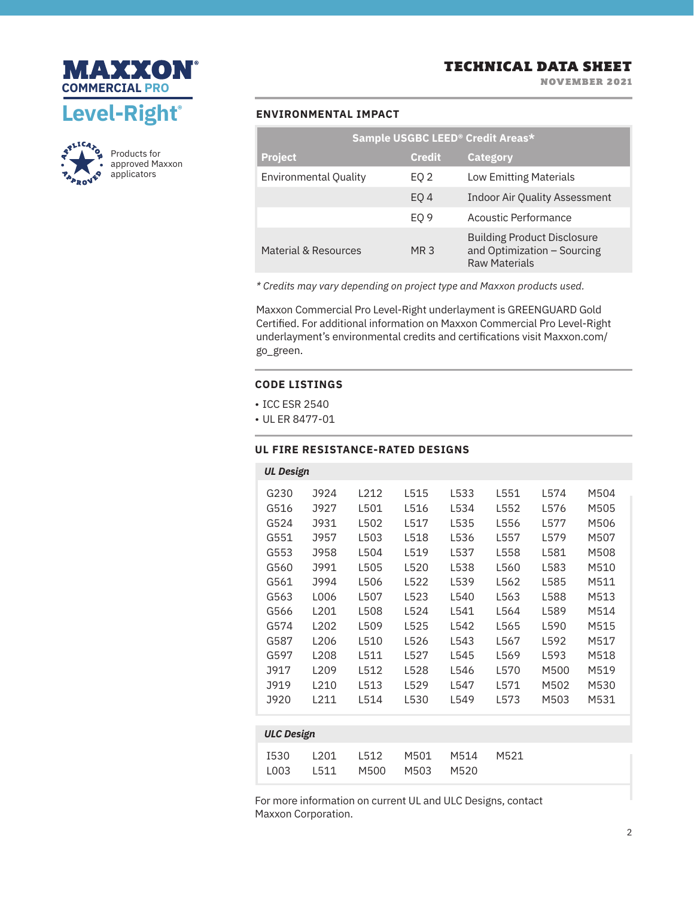

NOVEMBER 2021





Products for approved Maxxon applicators

### **ENVIRONMENTAL IMPACT**

| Sample USGBC LEED® Credit Areas* |                 |                                                                                           |  |  |  |  |  |
|----------------------------------|-----------------|-------------------------------------------------------------------------------------------|--|--|--|--|--|
| <b>Project</b>                   | <b>Credit</b>   | <b>Category</b>                                                                           |  |  |  |  |  |
| Environmental Quality            | EQ 2            | <b>Low Emitting Materials</b>                                                             |  |  |  |  |  |
|                                  | EO <sub>4</sub> | <b>Indoor Air Quality Assessment</b>                                                      |  |  |  |  |  |
|                                  | EO <sub>9</sub> | Acoustic Performance                                                                      |  |  |  |  |  |
| Material & Resources             | MR <sub>3</sub> | <b>Building Product Disclosure</b><br>and Optimization - Sourcing<br><b>Raw Materials</b> |  |  |  |  |  |

*\* Credits may vary depending on project type and Maxxon products used.*

Maxxon Commercial Pro Level-Right underlayment is GREENGUARD Gold Certified. For additional information on Maxxon Commercial Pro Level-Right underlayment's environmental credits and certifications visit Maxxon.com/ go\_green.

### **CODE LISTINGS**

- ICC ESR 2540
- UL ER 8477-01

# **UL FIRE RESISTANCE-RATED DESIGNS**

| <b>UL Design</b>    |                  |              |              |              |       |      |      |  |  |
|---------------------|------------------|--------------|--------------|--------------|-------|------|------|--|--|
| G230                | J924             | 1212         | L515         | L533         | L551  | L574 | M504 |  |  |
| G516                | <b>J927</b>      | L501         | L516         | L534         | L552  | L576 | M505 |  |  |
| G524                | J931             | L502         | L517         | L535         | L556  | L577 | M506 |  |  |
| G551                | J957             | L503         | L518         | L536         | L557  | L579 | M507 |  |  |
| G553                | J958             | L504         | L519         | L537         | L558  | L581 | M508 |  |  |
| G560                | J991             | L505         | L520         | L538         | L560  | L583 | M510 |  |  |
| G561                | J994             | L506         | L522         | L539         | L562  | L585 | M511 |  |  |
| G563                | L006             | L507         | L523         | L540         | L563  | L588 | M513 |  |  |
| G566                | L201             | L508         | L524         | 1541         | I 564 | L589 | M514 |  |  |
| G574                | L <sub>202</sub> | L509         | L525         | L542         | L565  | L590 | M515 |  |  |
| G587                | L206             | L510         | L526         | L543         | L567  | L592 | M517 |  |  |
| G597                | L <sub>208</sub> | L511         | L527         | L545         | L569  | L593 | M518 |  |  |
| <b>J917</b>         | L <sub>209</sub> | L512         | L528         | L546         | L570  | M500 | M519 |  |  |
| <b>J919</b>         | L210             | L513         | L529         | 1547         | L571  | M502 | M530 |  |  |
| J920                | L211             | L514         | L530         | L549         | L573  | M503 | M531 |  |  |
|                     |                  |              |              |              |       |      |      |  |  |
| <b>ULC Design</b>   |                  |              |              |              |       |      |      |  |  |
| <b>I530</b><br>L003 | L201<br>L511     | L512<br>M500 | M501<br>M503 | M514<br>M520 | M521  |      |      |  |  |

For more information on current UL and ULC Designs, contact Maxxon Corporation.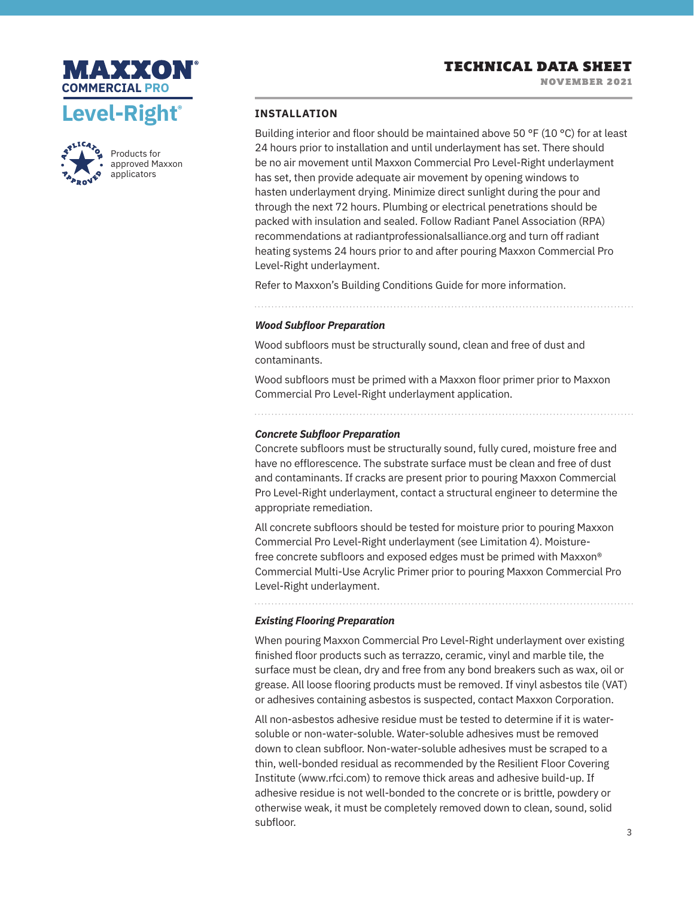





Products for approved Maxxon applicators

### **INSTALLATION**

Building interior and floor should be maintained above 50 °F (10 °C) for at least 24 hours prior to installation and until underlayment has set. There should be no air movement until Maxxon Commercial Pro Level-Right underlayment has set, then provide adequate air movement by opening windows to hasten underlayment drying. Minimize direct sunlight during the pour and through the next 72 hours. Plumbing or electrical penetrations should be packed with insulation and sealed. Follow Radiant Panel Association (RPA) recommendations at radiantprofessionalsalliance.org and turn off radiant heating systems 24 hours prior to and after pouring Maxxon Commercial Pro Level-Right underlayment.

Refer to Maxxon's Building Conditions Guide for more information.

### *Wood Subfloor Preparation*

Wood subfloors must be structurally sound, clean and free of dust and contaminants.

Wood subfloors must be primed with a Maxxon floor primer prior to Maxxon Commercial Pro Level-Right underlayment application.

### *Concrete Subfloor Preparation*

Concrete subfloors must be structurally sound, fully cured, moisture free and have no efflorescence. The substrate surface must be clean and free of dust and contaminants. If cracks are present prior to pouring Maxxon Commercial Pro Level-Right underlayment, contact a structural engineer to determine the appropriate remediation.

All concrete subfloors should be tested for moisture prior to pouring Maxxon Commercial Pro Level-Right underlayment (see Limitation 4). Moisturefree concrete subfloors and exposed edges must be primed with Maxxon® Commercial Multi-Use Acrylic Primer prior to pouring Maxxon Commercial Pro Level-Right underlayment.

## *Existing Flooring Preparation*

When pouring Maxxon Commercial Pro Level-Right underlayment over existing finished floor products such as terrazzo, ceramic, vinyl and marble tile, the surface must be clean, dry and free from any bond breakers such as wax, oil or grease. All loose flooring products must be removed. If vinyl asbestos tile (VAT) or adhesives containing asbestos is suspected, contact Maxxon Corporation.

All non-asbestos adhesive residue must be tested to determine if it is watersoluble or non-water-soluble. Water-soluble adhesives must be removed down to clean subfloor. Non-water-soluble adhesives must be scraped to a thin, well-bonded residual as recommended by the Resilient Floor Covering Institute (www.rfci.com) to remove thick areas and adhesive build-up. If adhesive residue is not well-bonded to the concrete or is brittle, powdery or otherwise weak, it must be completely removed down to clean, sound, solid subfloor.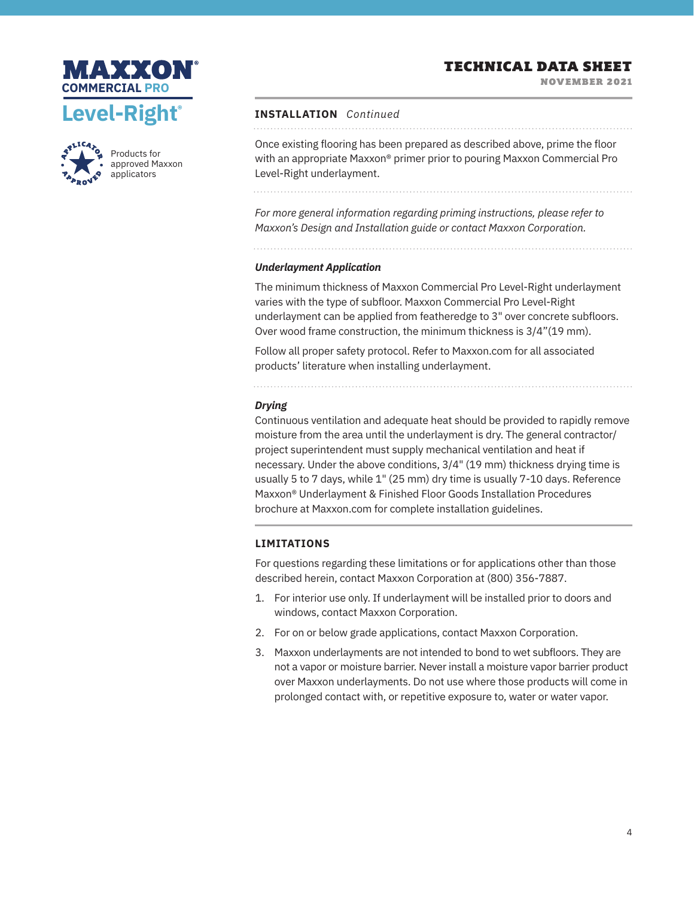# TECHNICAL DATA SHEET

NOVEMBER 2021





Products for approved Maxxon applicators

## **INSTALLATION** *Continued*

Once existing flooring has been prepared as described above, prime the floor with an appropriate Maxxon® primer prior to pouring Maxxon Commercial Pro Level-Right underlayment.

*For more general information regarding priming instructions, please refer to Maxxon's Design and Installation guide or contact Maxxon Corporation.*

### *Underlayment Application*

The minimum thickness of Maxxon Commercial Pro Level-Right underlayment varies with the type of subfloor. Maxxon Commercial Pro Level-Right underlayment can be applied from featheredge to 3" over concrete subfloors. Over wood frame construction, the minimum thickness is 3/4"(19 mm).

Follow all proper safety protocol. Refer to Maxxon.com for all associated products' literature when installing underlayment.

### *Drying*

Continuous ventilation and adequate heat should be provided to rapidly remove moisture from the area until the underlayment is dry. The general contractor/ project superintendent must supply mechanical ventilation and heat if necessary. Under the above conditions, 3/4" (19 mm) thickness drying time is usually 5 to 7 days, while 1" (25 mm) dry time is usually 7-10 days. Reference Maxxon® Underlayment & Finished Floor Goods Installation Procedures brochure at Maxxon.com for complete installation guidelines.

# **LIMITATIONS**

For questions regarding these limitations or for applications other than those described herein, contact Maxxon Corporation at (800) 356-7887.

- 1. For interior use only. If underlayment will be installed prior to doors and windows, contact Maxxon Corporation.
- 2. For on or below grade applications, contact Maxxon Corporation.
- 3. Maxxon underlayments are not intended to bond to wet subfloors. They are not a vapor or moisture barrier. Never install a moisture vapor barrier product over Maxxon underlayments. Do not use where those products will come in prolonged contact with, or repetitive exposure to, water or water vapor.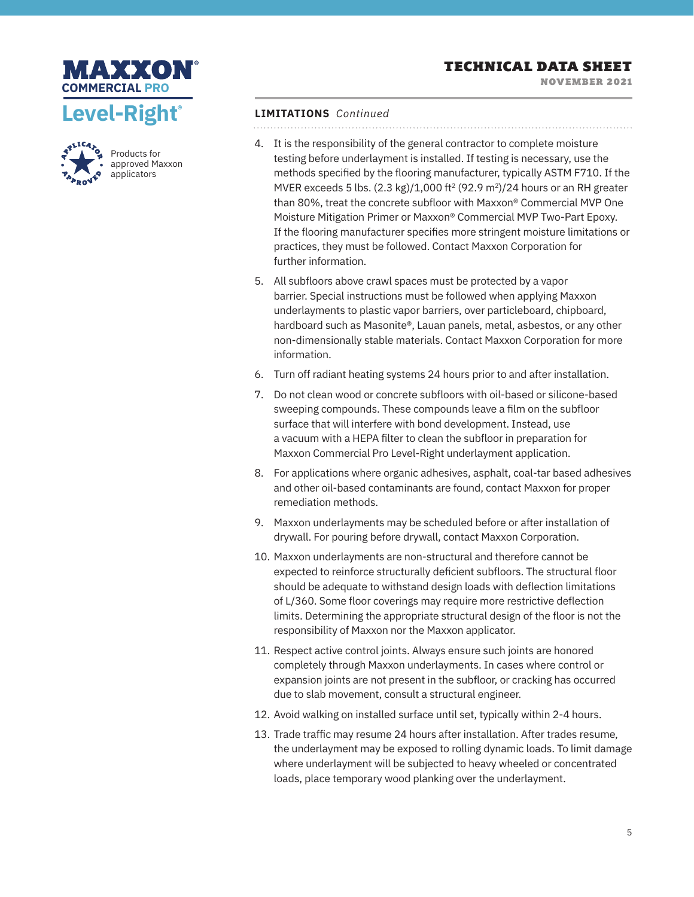

NOVEMBER 2021





Products for approved Maxxon applicators

# **LIMITATIONS** *Continued*

- 4. It is the responsibility of the general contractor to complete moisture testing before underlayment is installed. If testing is necessary, use the methods specified by the flooring manufacturer, typically ASTM F710. If the MVER exceeds 5 lbs.  $(2.3 \text{ kg})/1,000 \text{ ft}^2 (92.9 \text{ m}^2)/24$  hours or an RH greater than 80%, treat the concrete subfloor with Maxxon® Commercial MVP One Moisture Mitigation Primer or Maxxon® Commercial MVP Two-Part Epoxy. If the flooring manufacturer specifies more stringent moisture limitations or practices, they must be followed. Contact Maxxon Corporation for further information.
- 5. All subfloors above crawl spaces must be protected by a vapor barrier. Special instructions must be followed when applying Maxxon underlayments to plastic vapor barriers, over particleboard, chipboard, hardboard such as Masonite®, Lauan panels, metal, asbestos, or any other non-dimensionally stable materials. Contact Maxxon Corporation for more information.
- 6. Turn off radiant heating systems 24 hours prior to and after installation.
- 7. Do not clean wood or concrete subfloors with oil-based or silicone-based sweeping compounds. These compounds leave a film on the subfloor surface that will interfere with bond development. Instead, use a vacuum with a HEPA filter to clean the subfloor in preparation for Maxxon Commercial Pro Level-Right underlayment application.
- 8. For applications where organic adhesives, asphalt, coal-tar based adhesives and other oil-based contaminants are found, contact Maxxon for proper remediation methods.
- 9. Maxxon underlayments may be scheduled before or after installation of drywall. For pouring before drywall, contact Maxxon Corporation.
- 10. Maxxon underlayments are non-structural and therefore cannot be expected to reinforce structurally deficient subfloors. The structural floor should be adequate to withstand design loads with deflection limitations of L/360. Some floor coverings may require more restrictive deflection limits. Determining the appropriate structural design of the floor is not the responsibility of Maxxon nor the Maxxon applicator.
- 11. Respect active control joints. Always ensure such joints are honored completely through Maxxon underlayments. In cases where control or expansion joints are not present in the subfloor, or cracking has occurred due to slab movement, consult a structural engineer.
- 12. Avoid walking on installed surface until set, typically within 2-4 hours.
- 13. Trade traffic may resume 24 hours after installation. After trades resume, the underlayment may be exposed to rolling dynamic loads. To limit damage where underlayment will be subjected to heavy wheeled or concentrated loads, place temporary wood planking over the underlayment.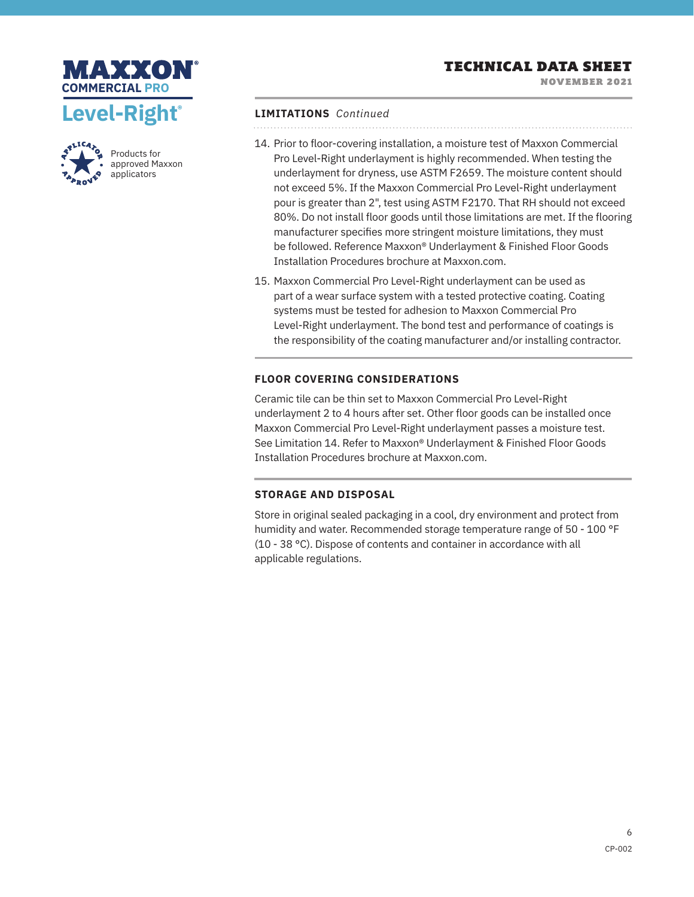

Products for approved Maxxon applicators

NOVEMBER 2021

# **LIMITATIONS** *Continued*

. . . . . . . . . . . . . . . . .

- 14. Prior to floor-covering installation, a moisture test of Maxxon Commercial Pro Level-Right underlayment is highly recommended. When testing the underlayment for dryness, use ASTM F2659. The moisture content should not exceed 5%. If the Maxxon Commercial Pro Level-Right underlayment pour is greater than 2", test using ASTM F2170. That RH should not exceed 80%. Do not install floor goods until those limitations are met. If the flooring manufacturer specifies more stringent moisture limitations, they must be followed. Reference Maxxon® Underlayment & Finished Floor Goods Installation Procedures brochure at Maxxon.com.
- 15. Maxxon Commercial Pro Level-Right underlayment can be used as part of a wear surface system with a tested protective coating. Coating systems must be tested for adhesion to Maxxon Commercial Pro Level-Right underlayment. The bond test and performance of coatings is the responsibility of the coating manufacturer and/or installing contractor.

## **FLOOR COVERING CONSIDERATIONS**

Ceramic tile can be thin set to Maxxon Commercial Pro Level-Right underlayment 2 to 4 hours after set. Other floor goods can be installed once Maxxon Commercial Pro Level-Right underlayment passes a moisture test. See Limitation 14. Refer to Maxxon® Underlayment & Finished Floor Goods Installation Procedures brochure at Maxxon.com.

### **STORAGE AND DISPOSAL**

Store in original sealed packaging in a cool, dry environment and protect from humidity and water. Recommended storage temperature range of 50 - 100 °F (10 - 38 °C). Dispose of contents and container in accordance with all applicable regulations.